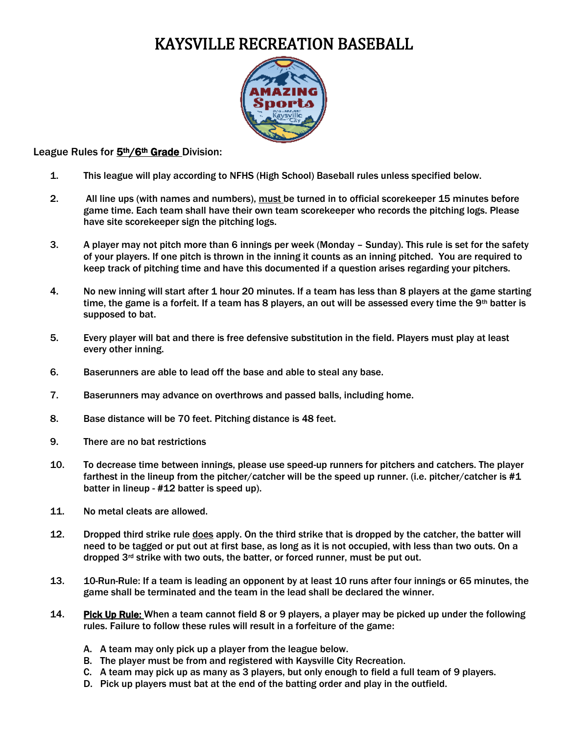## KAYSVILLE RECREATION BASEBALL



## League Rules for 5<sup>th</sup>/6<sup>th</sup> Grade Division:

- 1. This league will play according to NFHS (High School) Baseball rules unless specified below.
- 2. All line ups (with names and numbers), must be turned in to official scorekeeper 15 minutes before game time. Each team shall have their own team scorekeeper who records the pitching logs. Please have site scorekeeper sign the pitching logs.
- 3. A player may not pitch more than 6 innings per week (Monday Sunday). This rule is set for the safety of your players. If one pitch is thrown in the inning it counts as an inning pitched. You are required to keep track of pitching time and have this documented if a question arises regarding your pitchers.
- 4. No new inning will start after 1 hour 20 minutes. If a team has less than 8 players at the game starting time, the game is a forfeit. If a team has 8 players, an out will be assessed every time the 9th batter is supposed to bat.
- 5. Every player will bat and there is free defensive substitution in the field. Players must play at least every other inning.
- 6. Baserunners are able to lead off the base and able to steal any base.
- 7. Baserunners may advance on overthrows and passed balls, including home.
- 8. Base distance will be 70 feet. Pitching distance is 48 feet.
- 9. There are no bat restrictions
- 10. To decrease time between innings, please use speed-up runners for pitchers and catchers. The player farthest in the lineup from the pitcher/catcher will be the speed up runner. (i.e. pitcher/catcher is #1 batter in lineup - #12 batter is speed up).
- 11. No metal cleats are allowed.
- 12. Dropped third strike rule does apply. On the third strike that is dropped by the catcher, the batter will need to be tagged or put out at first base, as long as it is not occupied, with less than two outs. On a dropped 3<sup>rd</sup> strike with two outs, the batter, or forced runner, must be put out.
- 13. 10-Run-Rule: If a team is leading an opponent by at least 10 runs after four innings or 65 minutes, the game shall be terminated and the team in the lead shall be declared the winner.
- 14. Pick Up Rule: When a team cannot field 8 or 9 players, a player may be picked up under the following rules. Failure to follow these rules will result in a forfeiture of the game:
	- A. A team may only pick up a player from the league below.
	- B. The player must be from and registered with Kaysville City Recreation.
	- C. A team may pick up as many as 3 players, but only enough to field a full team of 9 players.
	- D. Pick up players must bat at the end of the batting order and play in the outfield.